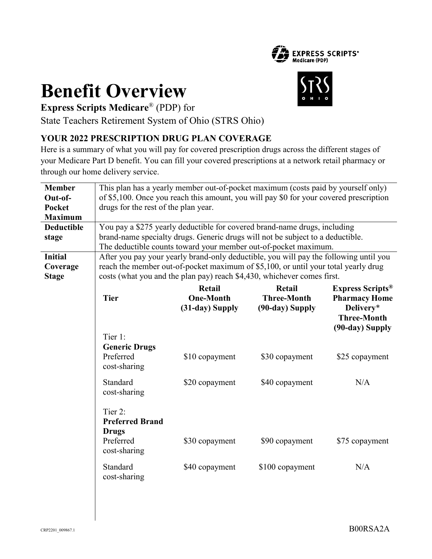

# **Benefit Overview**



**Express Scripts Medicare**® (PDP) for

State Teachers Retirement System of Ohio (STRS Ohio)

## **YOUR 2022 PRESCRIPTION DRUG PLAN COVERAGE**

Here is a summary of what you will pay for covered prescription drugs across the different stages of your Medicare Part D benefit. You can fill your covered prescriptions at a network retail pharmacy or through our home delivery service.

| <b>Member</b><br>Out-of-<br><b>Pocket</b><br><b>Maximum</b><br><b>Deductible</b><br>stage<br><b>Initial</b><br>Coverage | This plan has a yearly member out-of-pocket maximum (costs paid by yourself only)<br>of \$5,100. Once you reach this amount, you will pay \$0 for your covered prescription<br>drugs for the rest of the plan year.<br>You pay a \$275 yearly deductible for covered brand-name drugs, including<br>brand-name specialty drugs. Generic drugs will not be subject to a deductible.<br>The deductible counts toward your member out-of-pocket maximum.<br>After you pay your yearly brand-only deductible, you will pay the following until you<br>reach the member out-of-pocket maximum of \$5,100, or until your total yearly drug |                                                                                   |                                                                                     |                                                                                                                                            |  |  |
|-------------------------------------------------------------------------------------------------------------------------|--------------------------------------------------------------------------------------------------------------------------------------------------------------------------------------------------------------------------------------------------------------------------------------------------------------------------------------------------------------------------------------------------------------------------------------------------------------------------------------------------------------------------------------------------------------------------------------------------------------------------------------|-----------------------------------------------------------------------------------|-------------------------------------------------------------------------------------|--------------------------------------------------------------------------------------------------------------------------------------------|--|--|
| <b>Stage</b>                                                                                                            | costs (what you and the plan pay) reach \$4,430, whichever comes first.<br><b>Tier</b><br>Tier 1:<br><b>Generic Drugs</b><br>Preferred<br>cost-sharing<br>Standard                                                                                                                                                                                                                                                                                                                                                                                                                                                                   | Retail<br><b>One-Month</b><br>(31-day) Supply<br>\$10 copayment<br>\$20 copayment | Retail<br><b>Three-Month</b><br>(90-day) Supply<br>\$30 copayment<br>\$40 copayment | <b>Express Scripts</b> <sup>®</sup><br><b>Pharmacy Home</b><br>Delivery*<br><b>Three-Month</b><br>(90-day) Supply<br>\$25 copayment<br>N/A |  |  |
|                                                                                                                         | cost-sharing<br>Tier 2:<br><b>Preferred Brand</b><br><b>Drugs</b><br>Preferred<br>cost-sharing<br>Standard<br>cost-sharing                                                                                                                                                                                                                                                                                                                                                                                                                                                                                                           | \$30 copayment<br>\$40 copayment                                                  | \$90 copayment<br>\$100 copayment                                                   | \$75 copayment<br>N/A                                                                                                                      |  |  |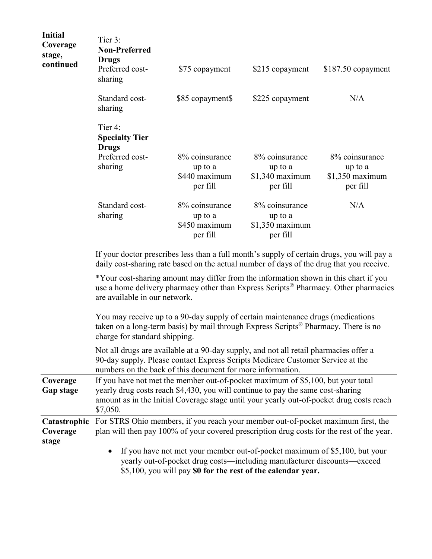| <b>Initial</b><br>Coverage<br>stage,<br>continued | Tier 3:<br><b>Non-Preferred</b><br><b>Drugs</b><br>Preferred cost-<br>sharing                                                                                                                                                                                              | \$75 copayment                                         | \$215 copayment                                           | $$187.50$ copayment                                       |  |  |
|---------------------------------------------------|----------------------------------------------------------------------------------------------------------------------------------------------------------------------------------------------------------------------------------------------------------------------------|--------------------------------------------------------|-----------------------------------------------------------|-----------------------------------------------------------|--|--|
|                                                   | Standard cost-<br>sharing                                                                                                                                                                                                                                                  | \$85 copayment\$                                       | \$225 copayment                                           | N/A                                                       |  |  |
|                                                   | Tier 4:<br><b>Specialty Tier</b><br><b>Drugs</b>                                                                                                                                                                                                                           |                                                        |                                                           |                                                           |  |  |
|                                                   | Preferred cost-<br>sharing                                                                                                                                                                                                                                                 | 8% coinsurance<br>up to a<br>\$440 maximum<br>per fill | 8% coinsurance<br>up to a<br>$$1,340$ maximum<br>per fill | 8% coinsurance<br>up to a<br>$$1,350$ maximum<br>per fill |  |  |
|                                                   | Standard cost-<br>sharing                                                                                                                                                                                                                                                  | 8% coinsurance<br>up to a<br>\$450 maximum<br>per fill | 8% coinsurance<br>up to a<br>$$1,350$ maximum<br>per fill | N/A                                                       |  |  |
|                                                   | If your doctor prescribes less than a full month's supply of certain drugs, you will pay a<br>daily cost-sharing rate based on the actual number of days of the drug that you receive.                                                                                     |                                                        |                                                           |                                                           |  |  |
|                                                   | *Your cost-sharing amount may differ from the information shown in this chart if you<br>use a home delivery pharmacy other than Express Scripts <sup>®</sup> Pharmacy. Other pharmacies<br>are available in our network.                                                   |                                                        |                                                           |                                                           |  |  |
|                                                   | You may receive up to a 90-day supply of certain maintenance drugs (medications<br>taken on a long-term basis) by mail through Express Scripts <sup>®</sup> Pharmacy. There is no<br>charge for standard shipping.                                                         |                                                        |                                                           |                                                           |  |  |
|                                                   | Not all drugs are available at a 90-day supply, and not all retail pharmacies offer a<br>90-day supply. Please contact Express Scripts Medicare Customer Service at the<br>numbers on the back of this document for more information.                                      |                                                        |                                                           |                                                           |  |  |
| Coverage<br><b>Gap stage</b>                      | If you have not met the member out-of-pocket maximum of \$5,100, but your total<br>yearly drug costs reach \$4,430, you will continue to pay the same cost-sharing<br>amount as in the Initial Coverage stage until your yearly out-of-pocket drug costs reach<br>\$7,050. |                                                        |                                                           |                                                           |  |  |
| Catastrophic<br>Coverage                          | For STRS Ohio members, if you reach your member out-of-pocket maximum first, the<br>plan will then pay 100% of your covered prescription drug costs for the rest of the year.                                                                                              |                                                        |                                                           |                                                           |  |  |
| stage                                             | If you have not met your member out-of-pocket maximum of \$5,100, but your<br>$\bullet$<br>yearly out-of-pocket drug costs—including manufacturer discounts—exceed<br>\$5,100, you will pay \$0 for the rest of the calendar year.                                         |                                                        |                                                           |                                                           |  |  |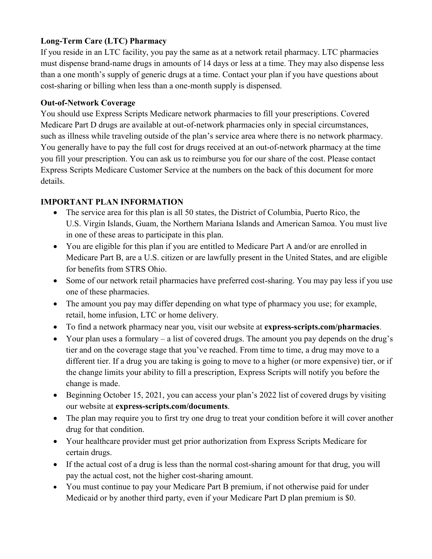#### **Long-Term Care (LTC) Pharmacy**

If you reside in an LTC facility, you pay the same as at a network retail pharmacy. LTC pharmacies must dispense brand-name drugs in amounts of 14 days or less at a time. They may also dispense less than a one month's supply of generic drugs at a time. Contact your plan if you have questions about cost-sharing or billing when less than a one-month supply is dispensed.

#### **Out-of-Network Coverage**

You should use Express Scripts Medicare network pharmacies to fill your prescriptions. Covered Medicare Part D drugs are available at out-of-network pharmacies only in special circumstances, such as illness while traveling outside of the plan's service area where there is no network pharmacy. You generally have to pay the full cost for drugs received at an out-of-network pharmacy at the time you fill your prescription. You can ask us to reimburse you for our share of the cost. Please contact Express Scripts Medicare Customer Service at the numbers on the back of this document for more details.

#### **IMPORTANT PLAN INFORMATION**

- The service area for this plan is all 50 states, the District of Columbia, Puerto Rico, the U.S. Virgin Islands, Guam, the Northern Mariana Islands and American Samoa. You must live in one of these areas to participate in this plan.
- You are eligible for this plan if you are entitled to Medicare Part A and/or are enrolled in Medicare Part B, are a U.S. citizen or are lawfully present in the United States, and are eligible for benefits from STRS Ohio.
- Some of our network retail pharmacies have preferred cost-sharing. You may pay less if you use one of these pharmacies.
- The amount you pay may differ depending on what type of pharmacy you use; for example, retail, home infusion, LTC or home delivery.
- To find a network pharmacy near you, visit our website at **express-scripts.com/pharmacies**.
- $\bullet$  Your plan uses a formulary a list of covered drugs. The amount you pay depends on the drug's tier and on the coverage stage that you've reached. From time to time, a drug may move to a different tier. If a drug you are taking is going to move to a higher (or more expensive) tier, or if the change limits your ability to fill a prescription, Express Scripts will notify you before the change is made.
- Beginning October 15, 2021, you can access your plan's 2022 list of covered drugs by visiting our website at **express-scripts.com/documents**.
- The plan may require you to first try one drug to treat your condition before it will cover another drug for that condition.
- Your healthcare provider must get prior authorization from Express Scripts Medicare for certain drugs.
- If the actual cost of a drug is less than the normal cost-sharing amount for that drug, you will pay the actual cost, not the higher cost-sharing amount.
- You must continue to pay your Medicare Part B premium, if not otherwise paid for under Medicaid or by another third party, even if your Medicare Part D plan premium is \$0.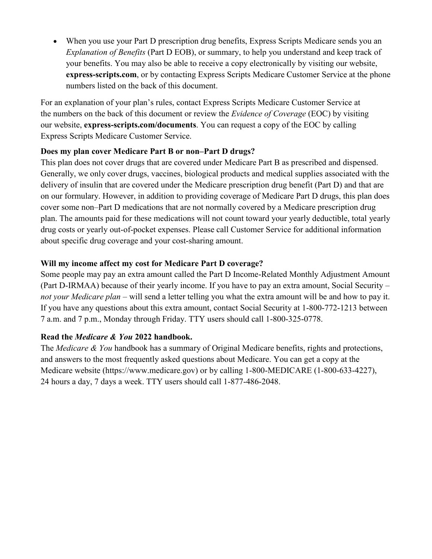When you use your Part D prescription drug benefits, Express Scripts Medicare sends you an *Explanation of Benefits* (Part D EOB), or summary, to help you understand and keep track of your benefits. You may also be able to receive a copy electronically by visiting our website, **express-scripts.com**, or by contacting Express Scripts Medicare Customer Service at the phone numbers listed on the back of this document.

For an explanation of your plan's rules, contact Express Scripts Medicare Customer Service at the numbers on the back of this document or review the *Evidence of Coverage* (EOC) by visiting our website, **express-scripts.com/documents**. You can request a copy of the EOC by calling Express Scripts Medicare Customer Service.

#### **Does my plan cover Medicare Part B or non–Part D drugs?**

This plan does not cover drugs that are covered under Medicare Part B as prescribed and dispensed. Generally, we only cover drugs, vaccines, biological products and medical supplies associated with the delivery of insulin that are covered under the Medicare prescription drug benefit (Part D) and that are on our formulary. However, in addition to providing coverage of Medicare Part D drugs, this plan does cover some non–Part D medications that are not normally covered by a Medicare prescription drug plan. The amounts paid for these medications will not count toward your yearly deductible, total yearly drug costs or yearly out-of-pocket expenses. Please call Customer Service for additional information about specific drug coverage and your cost-sharing amount.

#### **Will my income affect my cost for Medicare Part D coverage?**

Some people may pay an extra amount called the Part D Income-Related Monthly Adjustment Amount (Part D-IRMAA) because of their yearly income. If you have to pay an extra amount, Social Security – *not your Medicare plan* – will send a letter telling you what the extra amount will be and how to pay it. If you have any questions about this extra amount, contact Social Security at 1-800-772-1213 between 7 a.m. and 7 p.m., Monday through Friday. TTY users should call 1-800-325-0778.

#### **Read the** *Medicare & You* **2022 handbook.**

The *Medicare & You* handbook has a summary of Original Medicare benefits, rights and protections, and answers to the most frequently asked questions about Medicare. You can get a copy at the Medicare website (https://www.medicare.gov) or by calling 1-800-MEDICARE (1-800-633-4227), 24 hours a day, 7 days a week. TTY users should call 1-877-486-2048.